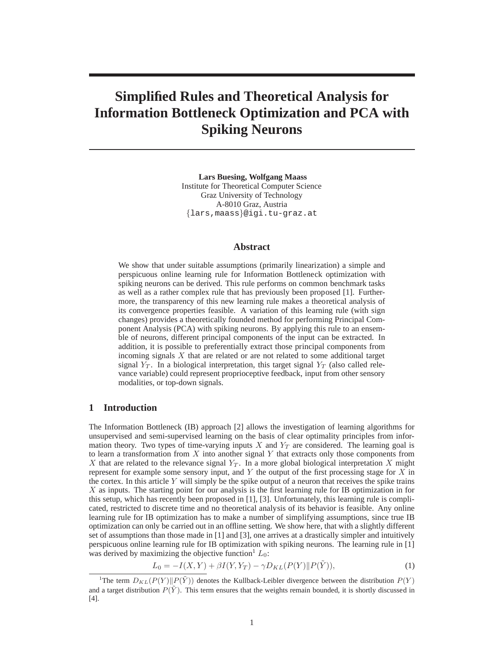# **Simplified Rules and Theoretical Analysis for Information Bottleneck Optimization and PCA with Spiking Neurons**

**Lars Buesing, Wolfgang Maass** Institute for Theoretical Computer Science Graz University of Technology A-8010 Graz, Austria {lars,maass}@igi.tu-graz.at

#### **Abstract**

We show that under suitable assumptions (primarily linearization) a simple and perspicuous online learning rule for Information Bottleneck optimization with spiking neurons can be derived. This rule performs on common benchmark tasks as well as a rather complex rule that has previously been proposed [1]. Furthermore, the transparency of this new learning rule makes a theoretical analysis of its convergence properties feasible. A variation of this learning rule (with sign changes) provides a theoretically founded method for performing Principal Component Analysis (PCA) with spiking neurons. By applying this rule to an ensemble of neurons, different principal components of the input can be extracted. In addition, it is possible to preferentially extract those principal components from incoming signals X that are related or are not related to some additional target signal  $Y_T$ . In a biological interpretation, this target signal  $Y_T$  (also called relevance variable) could represent proprioceptive feedback, input from other sensory modalities, or top-down signals.

# **1 Introduction**

The Information Bottleneck (IB) approach [2] allows the investigation of learning algorithms for unsupervised and semi-supervised learning on the basis of clear optimality principles from information theory. Two types of time-varying inputs X and  $Y_T$  are considered. The learning goal is to learn a transformation from  $X$  into another signal  $Y$  that extracts only those components from X that are related to the relevance signal  $Y_T$ . In a more global biological interpretation X might represent for example some sensory input, and  $Y$  the output of the first processing stage for  $X$  in the cortex. In this article  $Y$  will simply be the spike output of a neuron that receives the spike trains X as inputs. The starting point for our analysis is the first learning rule for IB optimization in for this setup, which has recently been proposed in [1], [3]. Unfortunately, this learning rule is complicated, restricted to discrete time and no theoretical analysis of its behavior is feasible. Any online learning rule for IB optimization has to make a number of simplifying assumptions, since true IB optimization can only be carried out in an offline setting. We show here, that with a slightly different set of assumptions than those made in [1] and [3], one arrives at a drastically simpler and intuitively perspicuous online learning rule for IB optimization with spiking neurons. The learning rule in [1] was derived by maximizing the objective function  $L_0$ :

$$
L_0 = -I(X, Y) + \beta I(Y, Y_T) - \gamma D_{KL}(P(Y) || P(\tilde{Y})),
$$
\n(1)

<sup>&</sup>lt;sup>1</sup>The term  $D_{KL}(P(Y) || P(Y))$  denotes the Kullback-Leibler divergence between the distribution  $P(Y)$ and a target distribution  $P(Y)$ . This term ensures that the weights remain bounded, it is shortly discussed in [4].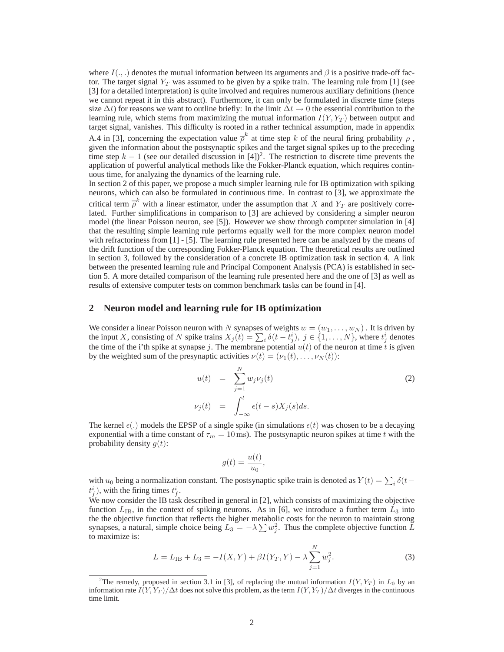where  $I(.,.)$  denotes the mutual information between its arguments and  $\beta$  is a positive trade-off factor. The target signal  $Y_T$  was assumed to be given by a spike train. The learning rule from [1] (see [3] for a detailed interpretation) is quite involved and requires numerous auxiliary definitions (hence we cannot repeat it in this abstract). Furthermore, it can only be formulated in discrete time (steps size  $\Delta t$ ) for reasons we want to outline briefly: In the limit  $\Delta t \rightarrow 0$  the essential contribution to the learning rule, which stems from maximizing the mutual information  $I(Y, Y_T)$  between output and target signal, vanishes. This difficulty is rooted in a rather technical assumption, made in appendix

A.4 in [3], concerning the expectation value  $\bar{\bar{\rho}}^k$  at time step k of the neural firing probability  $\rho$ , given the information about the postsynaptic spikes and the target signal spikes up to the preceding time step  $k - 1$  (see our detailed discussion in [4])<sup>2</sup>. The restriction to discrete time prevents the application of powerful analytical methods like the Fokker-Planck equation, which requires continuous time, for analyzing the dynamics of the learning rule.

In section 2 of this paper, we propose a much simpler learning rule for IB optimization with spiking neurons, which can also be formulated in continuous time. In contrast to [3], we approximate the critical term  $\bar{\bar{\rho}}^k$  with a linear estimator, under the assumption that X and  $Y_T$  are positively correlated. Further simplifications in comparison to [3] are achieved by considering a simpler neuron model (the linear Poisson neuron, see [5]). However we show through computer simulation in [4] that the resulting simple learning rule performs equally well for the more complex neuron model with refractoriness from [1] - [5]. The learning rule presented here can be analyzed by the means of the drift function of the corresponding Fokker-Planck equation. The theoretical results are outlined in section 3, followed by the consideration of a concrete IB optimization task in section 4. A link between the presented learning rule and Principal Component Analysis (PCA) is established in section 5. A more detailed comparison of the learning rule presented here and the one of [3] as well as results of extensive computer tests on common benchmark tasks can be found in [4].

#### **2 Neuron model and learning rule for IB optimization**

We consider a linear Poisson neuron with N synapses of weights  $w = (w_1, \dots, w_N)$ . It is driven by the input X, consisting of N spike trains  $X_j(t) = \sum_i \delta(t - t_j^i)$ ,  $j \in \{1, ..., N\}$ , where  $t_j^i$  denotes the time of the i'th spike at synapse j. The membrane potential  $u(t)$  of the neuron at time t is given by the weighted sum of the presynaptic activities  $\nu(t) = (\nu_1(t), \dots, \nu_N(t))$ :

$$
u(t) = \sum_{j=1}^{N} w_j \nu_j(t)
$$
  
\n
$$
\nu_j(t) = \int_{-\infty}^t \epsilon(t-s) X_j(s) ds.
$$
\n(2)

The kernel  $\epsilon(.)$  models the EPSP of a single spike (in simulations  $\epsilon(t)$  was chosen to be a decaying exponential with a time constant of  $\tau_m = 10$  ms). The postsynaptic neuron spikes at time t with the probability density  $g(t)$ :

$$
g(t) = \frac{u(t)}{u_0},
$$

with  $u_0$  being a normalization constant. The postsynaptic spike train is denoted as  $Y(t) = \sum_i \delta(t$  $t_f^i$ ), with the firing times  $t_f^i$ .

We now consider the IB task described in general in [2], which consists of maximizing the objective function  $L_{\text{IB}}$ , in the context of spiking neurons. As in [6], we introduce a further term  $L_3$  into the the objective function that reflects the higher metabolic costs for the neuron to maintain strong synapses, a natural, simple choice being  $L_3 = -\lambda \sum w_j^2$ . Thus the complete objective function  $\tilde{L}$ to maximize is:

$$
L = L_{IB} + L_3 = -I(X, Y) + \beta I(Y_T, Y) - \lambda \sum_{j=1}^{N} w_j^2.
$$
 (3)

<sup>&</sup>lt;sup>2</sup>The remedy, proposed in section 3.1 in [3], of replacing the mutual information  $I(Y, Y_T)$  in  $L_0$  by an information rate  $I(Y, Y_T)/\Delta t$  does not solve this problem, as the term  $I(Y, Y_T)/\Delta t$  diverges in the continuous time limit.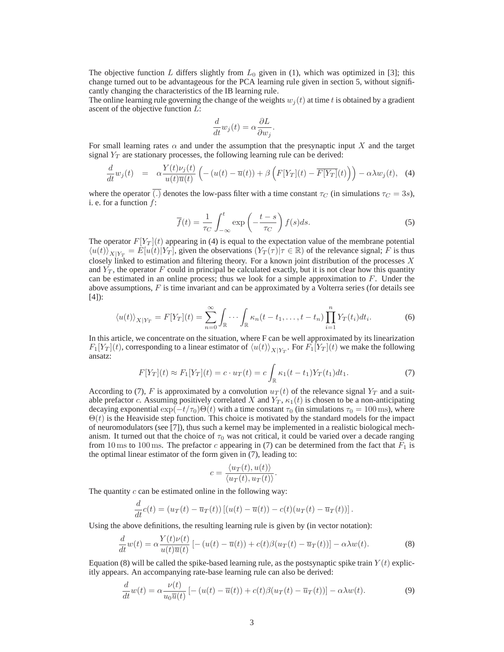The objective function L differs slightly from  $L_0$  given in (1), which was optimized in [3]; this change turned out to be advantageous for the PCA learning rule given in section 5, without significantly changing the characteristics of the IB learning rule.

The online learning rule governing the change of the weights  $w_i(t)$  at time t is obtained by a gradient ascent of the objective function  $L$ :

$$
\frac{d}{dt}w_j(t) = \alpha \frac{\partial L}{\partial w_j}.
$$

For small learning rates  $\alpha$  and under the assumption that the presynaptic input X and the target signal  $Y_T$  are stationary processes, the following learning rule can be derived:

$$
\frac{d}{dt}w_j(t) = \alpha \frac{Y(t)\nu_j(t)}{u(t)\overline{u}(t)} \left( -\left(u(t) - \overline{u}(t)\right) + \beta \left(F[Y_T](t) - \overline{F[Y_T]}(t)\right) \right) - \alpha \lambda w_j(t), \quad (4)
$$

where the operator (.) denotes the low-pass filter with a time constant  $\tau_C$  (in simulations  $\tau_C = 3s$ ), i. e. for a function  $f$ :

$$
\overline{f}(t) = \frac{1}{\tau_C} \int_{-\infty}^{t} \exp\left(-\frac{t-s}{\tau_C}\right) f(s)ds.
$$
 (5)

The operator  $F[Y_T](t)$  appearing in (4) is equal to the expectation value of the membrane potential  $\langle u(t) \rangle_{X|Y_T} = E[u(t)] \overline{Y_T}$ , given the observations  $(Y_T(\tau) | \tau \in \mathbb{R})$  of the relevance signal; F is thus closely linked to estimation and filtering theory. For a known joint distribution of the processes  $X$ and  $Y_T$ , the operator F could in principal be calculated exactly, but it is not clear how this quantity can be estimated in an online process; thus we look for a simple approximation to  $F$ . Under the above assumptions,  $F$  is time invariant and can be approximated by a Volterra series (for details see [4]):

$$
\langle u(t) \rangle_{X|Y_T} = F[Y_T](t) = \sum_{n=0}^{\infty} \int_{\mathbb{R}} \cdots \int_{\mathbb{R}} \kappa_n(t - t_1, \dots, t - t_n) \prod_{i=1}^n Y_T(t_i) dt_i.
$$
 (6)

In this article, we concentrate on the situation, where F can be well approximated by its linearization  $F_1[Y_T](t)$ , corresponding to a linear estimator of  $\langle u(t) \rangle_{X|Y_T}$ . For  $F_1[Y_T](t)$  we make the following ansatz:

$$
F[Y_T](t) \approx F_1[Y_T](t) = c \cdot u_T(t) = c \int_{\mathbb{R}} \kappa_1(t - t_1) Y_T(t_1) dt_1.
$$
 (7)

According to (7), F is approximated by a convolution  $u_T(t)$  of the relevance signal  $Y_T$  and a suitable prefactor c. Assuming positively correlated X and  $Y_T$ ,  $\kappa_1(t)$  is chosen to be a non-anticipating decaying exponential  $\exp(-t/\tau_0)\Theta(t)$  with a time constant  $\tau_0$  (in simulations  $\tau_0 = 100$  ms), where  $\Theta(t)$  is the Heaviside step function. This choice is motivated by the standard models for the impact of neuromodulators (see [7]), thus such a kernel may be implemented in a realistic biological mechanism. It turned out that the choice of  $\tau_0$  was not critical, it could be varied over a decade ranging from 10 ms to 100 ms. The prefactor c appearing in (7) can be determined from the fact that  $F_1$  is the optimal linear estimator of the form given in (7), leading to:

$$
c = \frac{\langle u_T(t), u(t) \rangle}{\langle u_T(t), u_T(t) \rangle}.
$$

The quantity  $c$  can be estimated online in the following way:

$$
\frac{d}{dt}c(t) = (u_T(t) - \overline{u}_T(t)) [(u(t) - \overline{u}(t)) - c(t)(u_T(t) - \overline{u}_T(t))].
$$

Using the above definitions, the resulting learning rule is given by (in vector notation):

$$
\frac{d}{dt}w(t) = \alpha \frac{Y(t)v(t)}{u(t)\overline{u}(t)} \left[ -(u(t) - \overline{u}(t)) + c(t)\beta(u_T(t) - \overline{u}_T(t)) \right] - \alpha \lambda w(t).
$$
\n(8)

Equation (8) will be called the spike-based learning rule, as the postsynaptic spike train  $Y(t)$  explicitly appears. An accompanying rate-base learning rule can also be derived:

$$
\frac{d}{dt}w(t) = \alpha \frac{\nu(t)}{u_0 \overline{u}(t)} \left[ -(u(t) - \overline{u}(t)) + c(t)\beta(u_T(t) - \overline{u}_T(t)) \right] - \alpha \lambda w(t). \tag{9}
$$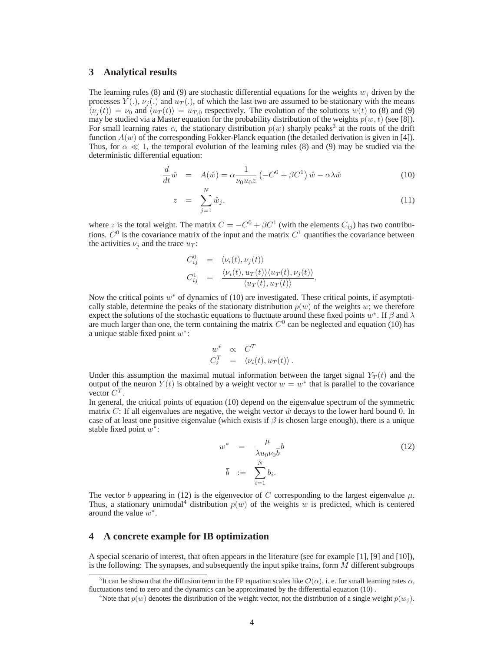# **3 Analytical results**

The learning rules (8) and (9) are stochastic differential equations for the weights  $w_i$  driven by the processes  $Y(.)$ ,  $\nu_j(.)$  and  $u_T(.)$ , of which the last two are assumed to be stationary with the means  $\langle v_i(t) \rangle = v_0$  and  $\langle u_T(t) \rangle = u_{T,0}$  respectively. The evolution of the solutions  $w(t)$  to (8) and (9) may be studied via a Master equation for the probability distribution of the weights  $p(w, t)$  (see [8]). For small learning rates  $\alpha$ , the stationary distribution  $p(w)$  sharply peaks<sup>3</sup> at the roots of the drift function  $A(w)$  of the corresponding Fokker-Planck equation (the detailed derivation is given in [4]). Thus, for  $\alpha \ll 1$ , the temporal evolution of the learning rules (8) and (9) may be studied via the deterministic differential equation:

$$
\frac{d}{dt}\hat{w} = A(\hat{w}) = \alpha \frac{1}{\nu_0 u_0 z} \left( -C^0 + \beta C^1 \right) \hat{w} - \alpha \lambda \hat{w}
$$
\n(10)

$$
z = \sum_{j=1}^{N} \hat{w}_j, \tag{11}
$$

where z is the total weight. The matrix  $C = -C^0 + \beta C^1$  (with the elements  $C_{ij}$ ) has two contributions.  $C^0$  is the covariance matrix of the input and the matrix  $C^1$  quantifies the covariance between the activities  $\nu_j$  and the trace  $u_T$ :

$$
C_{ij}^0 = \langle \nu_i(t), \nu_j(t) \rangle
$$
  
\n
$$
C_{ij}^1 = \frac{\langle \nu_i(t), u_T(t) \rangle \langle u_T(t), \nu_j(t) \rangle}{\langle u_T(t), u_T(t) \rangle}.
$$

Now the critical points  $w^*$  of dynamics of (10) are investigated. These critical points, if asymptotically stable, determine the peaks of the stationary distribution  $p(w)$  of the weights w; we therefore expect the solutions of the stochastic equations to fluctuate around these fixed points  $w^*$ . If  $\beta$  and  $\lambda$ are much larger than one, the term containing the matrix  $C^0$  can be neglected and equation (10) has a unique stable fixed point  $w^*$ :

$$
w^* \propto C^T
$$
  

$$
C_i^T = \langle \nu_i(t), u_T(t) \rangle.
$$

Under this assumption the maximal mutual information between the target signal  $Y_T(t)$  and the output of the neuron  $Y(t)$  is obtained by a weight vector  $w = w^*$  that is parallel to the covariance vector  $C^T$ .

In general, the critical points of equation (10) depend on the eigenvalue spectrum of the symmetric matrix C: If all eigenvalues are negative, the weight vector  $\hat{w}$  decays to the lower hard bound 0. In case of at least one positive eigenvalue (which exists if  $\beta$  is chosen large enough), there is a unique stable fixed point  $w^*$ :

$$
w^* = \frac{\mu}{\lambda u_0 \nu_0 \bar{b}} b
$$
  
\n
$$
\bar{b} := \sum_{i=1}^N b_i.
$$
 (12)

The vector b appearing in (12) is the eigenvector of C corresponding to the largest eigenvalue  $\mu$ . Thus, a stationary unimodal<sup>4</sup> distribution  $p(w)$  of the weights w is predicted, which is centered around the value  $w^*$ .

## **4 A concrete example for IB optimization**

A special scenario of interest, that often appears in the literature (see for example [1], [9] and [10]), is the following: The synapses, and subsequently the input spike trains, form  $M$  different subgroups

<sup>&</sup>lt;sup>3</sup>It can be shown that the diffusion term in the FP equation scales like  $\mathcal{O}(\alpha)$ , i. e. for small learning rates  $\alpha$ , fluctuations tend to zero and the dynamics can be approximated by the differential equation (10) .

<sup>&</sup>lt;sup>4</sup>Note that  $p(w)$  denotes the distribution of the weight vector, not the distribution of a single weight  $p(w_i)$ .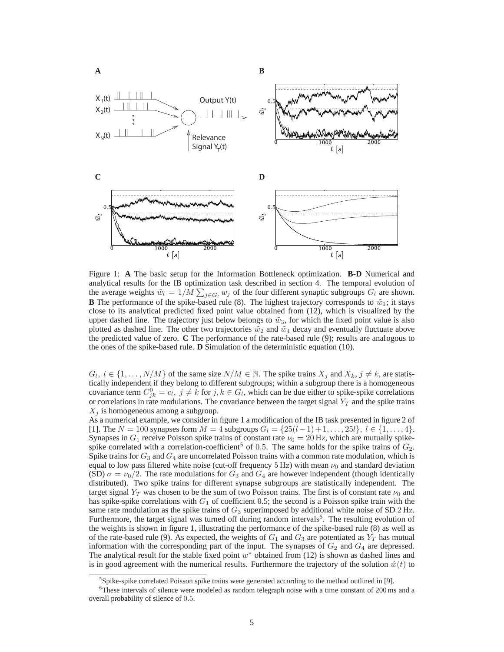

Figure 1: **A** The basic setup for the Information Bottleneck optimization. **B**-**D** Numerical and analytical results for the IB optimization task described in section 4. The temporal evolution of the average weights  $\tilde{w}_l = 1/M \sum_{j \in G_l} w_j$  of the four different synaptic subgroups  $G_l$  are shown. **B** The performance of the spike-based rule (8). The highest trajectory corresponds to  $\tilde{w}_1$ ; it stays close to its analytical predicted fixed point value obtained from (12), which is visualized by the upper dashed line. The trajectory just below belongs to  $\tilde{w}_3$ , for which the fixed point value is also plotted as dashed line. The other two trajectories  $\tilde{w}_2$  and  $\tilde{w}_4$  decay and eventually fluctuate above the predicted value of zero. **C** The performance of the rate-based rule (9); results are analogous to the ones of the spike-based rule. **D** Simulation of the deterministic equation (10).

 $G_l, l \in \{1, ..., N/M\}$  of the same size  $N/M \in \mathbb{N}$ . The spike trains  $X_j$  and  $X_k, j \neq k$ , are statistically independent if they belong to different subgroups; within a subgroup there is a homogeneous covariance term  $C_{jk}^0 = c_l$ ,  $j \neq k$  for  $j, k \in G_l$ , which can be due either to spike-spike correlations or correlations in rate modulations. The covariance between the target signal  $Y_T$  and the spike trains  $X_i$  is homogeneous among a subgroup.

As a numerical example, we consider in figure 1 a modification of the IB task presented in figure 2 of [1]. The  $N = 100$  synapses form  $M = 4$  subgroups  $G_l = \{25(l-1)+1, \ldots, 25l\}, l \in \{1, \ldots, 4\}.$ Synapses in  $G_1$  receive Poisson spike trains of constant rate  $\nu_0 = 20$  Hz, which are mutually spikespike correlated with a correlation-coefficient<sup>5</sup> of 0.5. The same holds for the spike trains of  $G_2$ . Spike trains for  $G_3$  and  $G_4$  are uncorrelated Poisson trains with a common rate modulation, which is equal to low pass filtered white noise (cut-off frequency  $5 \text{ Hz}$ ) with mean  $\nu_0$  and standard deviation (SD)  $\sigma = \nu_0/2$ . The rate modulations for  $G_3$  and  $G_4$  are however independent (though identically distributed). Two spike trains for different synapse subgroups are statistically independent. The target signal  $Y_T$  was chosen to be the sum of two Poisson trains. The first is of constant rate  $\nu_0$  and has spike-spike correlations with  $G_1$  of coefficient 0.5; the second is a Poisson spike train with the same rate modulation as the spike trains of  $G_3$  superimposed by additional white noise of SD 2 Hz. Furthermore, the target signal was turned off during random intervals<sup>6</sup>. The resulting evolution of the weights is shown in figure 1, illustrating the performance of the spike-based rule (8) as well as of the rate-based rule (9). As expected, the weights of  $G_1$  and  $G_3$  are potentiated as  $Y_T$  has mutual information with the corresponding part of the input. The synapses of  $G_2$  and  $G_4$  are depressed. The analytical result for the stable fixed point  $w^*$  obtained from (12) is shown as dashed lines and is in good agreement with the numerical results. Furthermore the trajectory of the solution  $\hat{w}(t)$  to

<sup>&</sup>lt;sup>5</sup>Spike-spike correlated Poisson spike trains were generated according to the method outlined in [9].

<sup>6</sup>These intervals of silence were modeled as random telegraph noise with a time constant of 200 ms and a overall probability of silence of 0.5.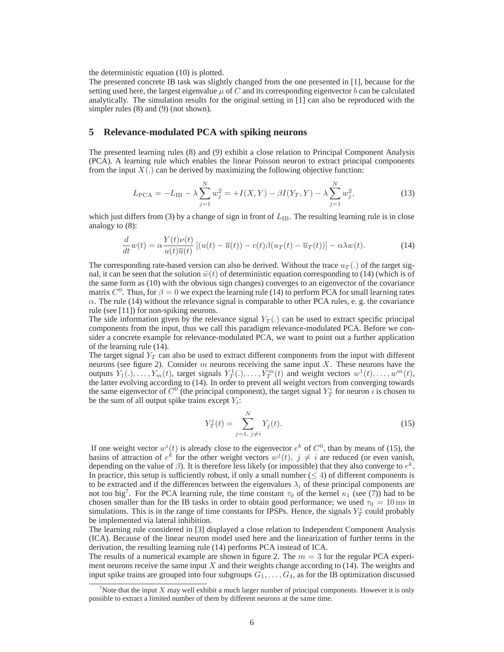the deterministic equation (10) is plotted.

The presented concrete IB task was slightly changed from the one presented in [1], because for the setting used here, the largest eigenvalue  $\mu$  of C and its corresponding eigenvector b can be calculated analytically. The simulation results for the original setting in [1] can also be reproduced with the simpler rules (8) and (9) (not shown).

## **5 Relevance-modulated PCA with spiking neurons**

The presented learning rules (8) and (9) exhibit a close relation to Principal Component Analysis (PCA). A learning rule which enables the linear Poisson neuron to extract principal components from the input  $X(.)$  can be derived by maximizing the following objective function:

$$
L_{\rm PCA} = -L_{\rm IB} - \lambda \sum_{j=1}^{N} w_j^2 = +I(X, Y) - \beta I(Y_T, Y) - \lambda \sum_{j=1}^{N} w_j^2,
$$
\n(13)

which just differs from (3) by a change of sign in front of  $L_{IB}$ . The resulting learning rule is in close analogy to (8):

$$
\frac{d}{dt}w(t) = \alpha \frac{Y(t)\nu(t)}{u(t)\overline{u}(t)} \left[ (u(t) - \overline{u}(t)) - c(t)\beta(u_T(t) - \overline{u}_T(t)) \right] - \alpha \lambda w(t).
$$
\n(14)

The corresponding rate-based version can also be derived. Without the trace  $u_T(.)$  of the target signal, it can be seen that the solution  $\hat{w}(t)$  of deterministic equation corresponding to (14) (which is of the same form as (10) with the obvious sign changes) converges to an eigenvector of the covariance matrix  $C^0$ . Thus, for  $\beta = 0$  we expect the learning rule (14) to perform PCA for small learning rates  $\alpha$ . The rule (14) without the relevance signal is comparable to other PCA rules, e. g. the covariance rule (see [11]) for non-spiking neurons.

The side information given by the relevance signal  $Y_T(.)$  can be used to extract specific principal components from the input, thus we call this paradigm relevance-modulated PCA. Before we consider a concrete example for relevance-modulated PCA, we want to point out a further application of the learning rule (14).

The target signal  $Y_T$  can also be used to extract different components from the input with different neurons (see figure 2). Consider  $m$  neurons receiving the same input  $X$ . These neurons have the outputs  $Y_1(.,..., Y_m(t))$ , target signals  $Y_T^1(.,..., Y_T^m(t))$  and weight vectors  $w^1(t),..., w^m(t)$ , the latter evolving according to (14). In order to prevent all weight vectors from converging towards the same eigenvector of  $C^0$  (the principal component), the target signal  $Y_T^i$  for neuron  $\tilde{i}$  is chosen to be the sum of all output spike trains except  $Y_i$ :

$$
Y_T^i(t) = \sum_{j=1, \ j \neq i}^N Y_j(t). \tag{15}
$$

If one weight vector  $w^{i}(t)$  is already close to the eigenvector  $e^{k}$  of  $C^{0}$ , than by means of (15), the basins of attraction of  $e^{k}$  for the other weight vectors  $w^{j}(t)$ ,  $j \neq i$  are reduced (or even vanish, depending on the value of  $\beta$ ). It is therefore less likely (or impossible) that they also converge to  $e^k$ . In practice, this setup is sufficiently robust, if only a small number ( $\leq 4$ ) of different components is to be extracted and if the differences between the eigenvalues  $\lambda_i$  of these principal components are not too big<sup>7</sup>. For the PCA learning rule, the time constant  $\tau_0$  of the kernel  $\kappa_1$  (see (7)) had to be chosen smaller than for the IB tasks in order to obtain good performance; we used  $\tau_0 = 10 \,\text{ms}$  in simulations. This is in the range of time constants for IPSPs. Hence, the signals  $Y_T^i$  could probably be implemented via lateral inhibition.

The learning rule considered in [3] displayed a close relation to Independent Component Analysis (ICA). Because of the linear neuron model used here and the linearization of further terms in the derivation, the resulting learning rule (14) performs PCA instead of ICA.

The results of a numerical example are shown in figure 2. The  $m = 3$  for the regular PCA experiment neurons receive the same input  $X$  and their weights change according to (14). The weights and input spike trains are grouped into four subgroups  $G_1, \ldots, G_4$ , as for the IB optimization discussed

<sup>&</sup>lt;sup>7</sup>Note that the input X may well exhibit a much larger number of principal components. However it is only possible to extract a limited number of them by different neurons at the same time.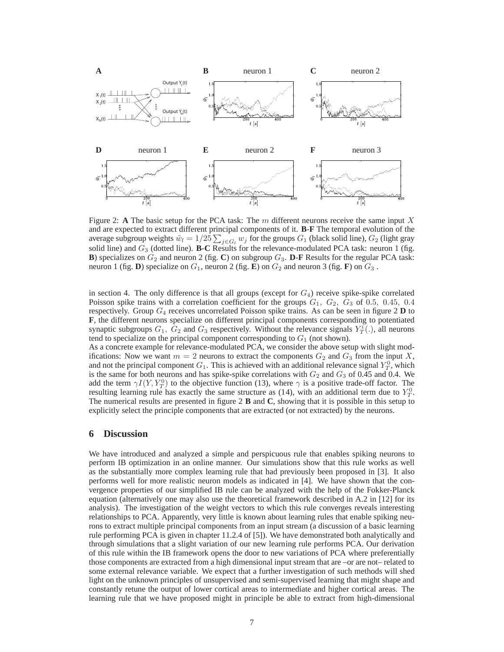

Figure 2: **A** The basic setup for the PCA task: The  $m$  different neurons receive the same input  $X$ and are expected to extract different principal components of it. **B**-**F** The temporal evolution of the average subgroup weights  $\tilde{w}_l = 1/25 \sum_{j \in G_l} w_j$  for the groups  $G_1$  (black solid line),  $G_2$  (light gray solid line) and G<sup>3</sup> (dotted line). **B**-**C** Results for the relevance-modulated PCA task: neuron 1 (fig. **B**) specializes on  $G_2$  and neuron 2 (fig. **C**) on subgroup  $G_3$ . **D-F** Results for the regular PCA task: neuron 1 (fig. **D**) specialize on  $G_1$ , neuron 2 (fig. **E**) on  $G_2$  and neuron 3 (fig. **F**) on  $G_3$ .

in section 4. The only difference is that all groups (except for  $G_4$ ) receive spike-spike correlated Poisson spike trains with a correlation coefficient for the groups  $G_1$ ,  $G_2$ ,  $G_3$  of 0.5, 0.45, 0.4 respectively. Group  $G_4$  receives uncorrelated Poisson spike trains. As can be seen in figure 2 **D** to **F**, the different neurons specialize on different principal components corresponding to potentiated synaptic subgroups  $G_1$ ,  $\tilde{G}_2$  and  $G_3$  respectively. Without the relevance signals  $Y_T^i(.)$ , all neurons tend to specialize on the principal component corresponding to  $G_1$  (not shown).

As a concrete example for relevance-modulated PCA, we consider the above setup with slight modifications: Now we want  $m = 2$  neurons to extract the components  $G_2$  and  $G_3$  from the input X, and not the principal component  $G_1$ . This is achieved with an additional relevance signal  $Y_T^0$ , which is the same for both neurons and has spike-spike correlations with  $G_2$  and  $G_3$  of 0.45 and 0.4. We add the term  $\gamma I(Y, Y_T^0)$  to the objective function (13), where  $\gamma$  is a positive trade-off factor. The resulting learning rule has exactly the same structure as (14), with an additional term due to  $Y_T^0$ . The numerical results are presented in figure 2 **B** and **C**, showing that it is possible in this setup to explicitly select the principle components that are extracted (or not extracted) by the neurons.

## **6 Discussion**

We have introduced and analyzed a simple and perspicuous rule that enables spiking neurons to perform IB optimization in an online manner. Our simulations show that this rule works as well as the substantially more complex learning rule that had previously been proposed in [3]. It also performs well for more realistic neuron models as indicated in [4]. We have shown that the convergence properties of our simplified IB rule can be analyzed with the help of the Fokker-Planck equation (alternatively one may also use the theoretical framework described in A.2 in [12] for its analysis). The investigation of the weight vectors to which this rule converges reveals interesting relationships to PCA. Apparently, very little is known about learning rules that enable spiking neurons to extract multiple principal components from an input stream (a discussion of a basic learning rule performing PCA is given in chapter 11.2.4 of [5]). We have demonstrated both analytically and through simulations that a slight variation of our new learning rule performs PCA. Our derivation of this rule within the IB framework opens the door to new variations of PCA where preferentially those components are extracted from a high dimensional input stream that are –or are not– related to some external relevance variable. We expect that a further investigation of such methods will shed light on the unknown principles of unsupervised and semi-supervised learning that might shape and constantly retune the output of lower cortical areas to intermediate and higher cortical areas. The learning rule that we have proposed might in principle be able to extract from high-dimensional